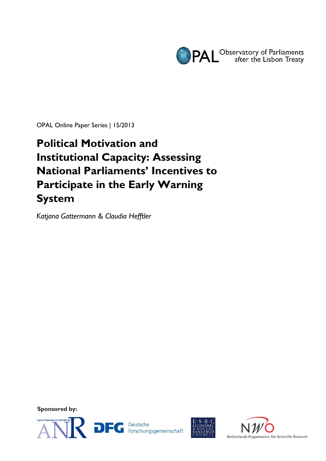

OPAL Online Paper Series | 15/2013

# **Political Motivation and Institutional Capacity: Assessing National Parliaments' Incentives to Participate in the Early Warning System**

*Katjana Gattermann & Claudia Hefftler*

**Sponsored by:**





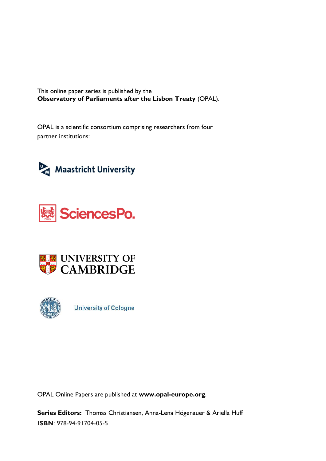This online paper series is published by the **Observatory of Parliaments after the Lisbon Treaty** (OPAL).

OPAL is a scientific consortium comprising researchers from four partner institutions:









**University of Cologne** 

OPAL Online Papers are published at **www.opal-europe.org**.

**Series Editors:** Thomas Christiansen, Anna-Lena Högenauer & Ariella Huff **ISBN**: 978-94-91704-05-5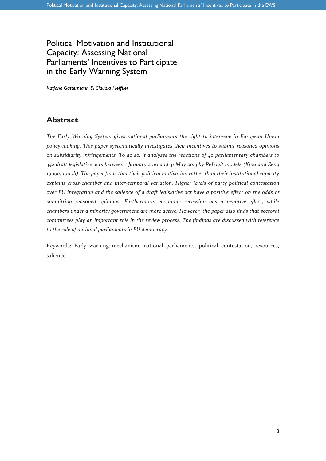# Political Motivation and Institutional Capacity: Assessing National Parliaments' Incentives to Participate in the Early Warning System

*Katjana Gattermann & Claudia Hefftler*

#### **Abstract**

*The Early Warning System gives national parliaments the right to intervene in European Union policy-making. This paper systematically investigates their incentives to submit reasoned opinions on subsidiarity infringements. To do so, it analyses the reactions of 40 parliamentary chambers to 342 draft legislative acts between 1 January 2010 and 31 May 2013 by ReLogit models (King and Zeng 1999a, 1999b). The paper finds that their political motivation rather than their institutional capacity explains cross-chamber and inter-temporal variation. Higher levels of party political contestation over EU integration and the salience of a draft legislative act have a positive effect on the odds of submitting reasoned opinions. Furthermore, economic recession has a negative effect, while chambers under a minority government are more active. However, the paper also finds that sectoral committees play an important role in the review process. The findings are discussed with reference to the role of national parliaments in EU democracy.*

Keywords: Early warning mechanism, national parliaments, political contestation, resources, salience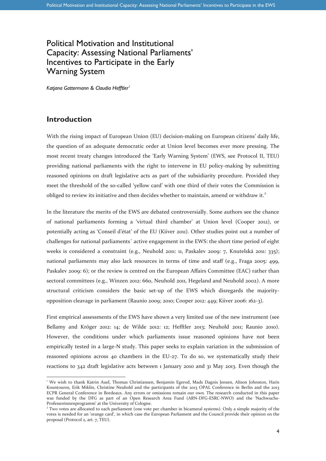# Political Motivation and Institutional Capacity: Assessing National Parliaments' Incentives to Participate in the Early Warning System

*Katjana Gattermann & Claudia Hefftler<sup>1</sup>*

#### **Introduction**

-

With the rising impact of European Union (EU) decision-making on European citizens' daily life, the question of an adequate democratic order at Union level becomes ever more pressing. The most recent treaty changes introduced the 'Early Warning System' (EWS, see Protocol II, TEU) providing national parliaments with the right to intervene in EU policy-making by submitting reasoned opinions on draft legislative acts as part of the subsidiarity procedure. Provided they meet the threshold of the so-called 'yellow card' with one third of their votes the Commission is obliged to review its initiative and then decides whether to maintain, amend or withdraw it.<sup>2</sup>

In the literature the merits of the EWS are debated controversially. Some authors see the chance of national parliaments forming a 'virtual third chamber' at Union level (Cooper 2012), or potentially acting as 'Conseil d'état' of the EU (Kiiver 2011). Other studies point out a number of challenges for national parliaments´ active engagement in the EWS: the short time period of eight weeks is considered a constraint (e.g., Neuhold 2011: 11, Paskalev 2009: 7, Knutelská 2011: 335); national parliaments may also lack resources in terms of time and staff (e.g., Fraga 2005: 499, Paskalev 2009: 6); or the review is centred on the European Affairs Committee (EAC) rather than sectoral committees (e.g., Winzen 2012: 660, Neuhold 2011, Hegeland and Neuhold 2002). A more structural criticism considers the basic set-up of the EWS which disregards the majorityopposition cleavage in parliament (Raunio 2009; 2010; Cooper 2012: 449; Kiiver 2006: 162-3).

First empirical assessments of the EWS have shown a very limited use of the new instrument (see Bellamy and Kröger 2012: 14; de Wilde 2012: 12; Hefftler 2013; Neuhold 2011; Raunio 2010). However, the conditions under which parliaments issue reasoned opinions have not been empirically tested in a large-N study. This paper seeks to explain variation in the submission of reasoned opinions across 40 chambers in the EU-27. To do so, we systematically study their reactions to 342 draft legislative acts between 1 January 2010 and 31 May 2013. Even though the

<sup>&</sup>lt;sup>1</sup> We wish to thank Katrin Auel, Thomas Christiansen, Benjamin Egerod, Mads Dagnis Jensen, Alison Johnston, Haris Kountouros, Erik Miklin, Christine Neuhold and the participants of the 2013 OPAL Conference in Berlin and the 2013 ECPR General Conference in Bordeaux. Any errors or omissions remain our own. The research conducted in this paper was funded by the DFG as part of an Open Research Area Fund (ARN-DFG-ESRC-NWO) and the 'Nachwuchs-Professorinnenprogramm' at the University of Cologne.

 $2$  Two votes are allocated to each parliament (one vote per chamber in bicameral systems). Only a simple majority of the votes is needed for an 'orange card', in which case the European Parliament and the Council provide their opinion on the proposal (Protocol 2, art. 7, TEU).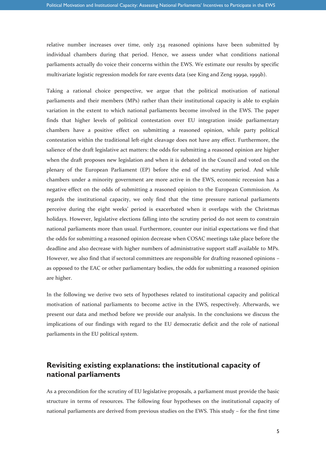relative number increases over time, only 234 reasoned opinions have been submitted by individual chambers during that period. Hence, we assess under what conditions national parliaments actually do voice their concerns within the EWS. We estimate our results by specific multivariate logistic regression models for rare events data (see King and Zeng 1999a, 1999b).

Taking a rational choice perspective, we argue that the political motivation of national parliaments and their members (MPs) rather than their institutional capacity is able to explain variation in the extent to which national parliaments become involved in the EWS. The paper finds that higher levels of political contestation over EU integration inside parliamentary chambers have a positive effect on submitting a reasoned opinion, while party political contestation within the traditional left-right cleavage does not have any effect. Furthermore, the salience of the draft legislative act matters: the odds for submitting a reasoned opinion are higher when the draft proposes new legislation and when it is debated in the Council and voted on the plenary of the European Parliament (EP) before the end of the scrutiny period. And while chambers under a minority government are more active in the EWS, economic recession has a negative effect on the odds of submitting a reasoned opinion to the European Commission. As regards the institutional capacity, we only find that the time pressure national parliaments perceive during the eight weeks' period is exacerbated when it overlaps with the Christmas holidays. However, legislative elections falling into the scrutiny period do not seem to constrain national parliaments more than usual. Furthermore, counter our initial expectations we find that the odds for submitting a reasoned opinion decrease when COSAC meetings take place before the deadline and also decrease with higher numbers of administrative support staff available to MPs. However, we also find that if sectoral committees are responsible for drafting reasoned opinions – as opposed to the EAC or other parliamentary bodies, the odds for submitting a reasoned opinion are higher.

In the following we derive two sets of hypotheses related to institutional capacity and political motivation of national parliaments to become active in the EWS, respectively. Afterwards, we present our data and method before we provide our analysis. In the conclusions we discuss the implications of our findings with regard to the EU democratic deficit and the role of national parliaments in the EU political system.

### **Revisiting existing explanations: the institutional capacity of national parliaments**

As a precondition for the scrutiny of EU legislative proposals, a parliament must provide the basic structure in terms of resources. The following four hypotheses on the institutional capacity of national parliaments are derived from previous studies on the EWS. This study – for the first time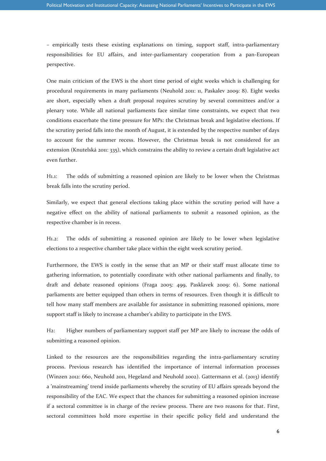– empirically tests these existing explanations on timing, support staff, intra-parliamentary responsibilities for EU affairs, and inter-parliamentary cooperation from a pan-European perspective.

One main criticism of the EWS is the short time period of eight weeks which is challenging for procedural requirements in many parliaments (Neuhold 2011: 11, Paskalev 2009: 8). Eight weeks are short, especially when a draft proposal requires scrutiny by several committees and/or a plenary vote. While all national parliaments face similar time constraints, we expect that two conditions exacerbate the time pressure for MPs: the Christmas break and legislative elections. If the scrutiny period falls into the month of August, it is extended by the respective number of days to account for the summer recess. However, the Christmas break is not considered for an extension (Knutelská 2011: 335), which constrains the ability to review a certain draft legislative act even further.

H1.1: The odds of submitting a reasoned opinion are likely to be lower when the Christmas break falls into the scrutiny period.

Similarly, we expect that general elections taking place within the scrutiny period will have a negative effect on the ability of national parliaments to submit a reasoned opinion, as the respective chamber is in recess.

H1.2: The odds of submitting a reasoned opinion are likely to be lower when legislative elections to a respective chamber take place within the eight week scrutiny period.

Furthermore, the EWS is costly in the sense that an MP or their staff must allocate time to gathering information, to potentially coordinate with other national parliaments and finally, to draft and debate reasoned opinions (Fraga 2005: 499, Pasklavek 2009: 6). Some national parliaments are better equipped than others in terms of resources. Even though it is difficult to tell how many staff members are available for assistance in submitting reasoned opinions, more support staff is likely to increase a chamber's ability to participate in the EWS.

H2: Higher numbers of parliamentary support staff per MP are likely to increase the odds of submitting a reasoned opinion.

Linked to the resources are the responsibilities regarding the intra-parliamentary scrutiny process. Previous research has identified the importance of internal information processes (Winzen 2012: 660, Neuhold 2011, Hegeland and Neuhold 2002). Gattermann et al. (2013) identify a 'mainstreaming' trend inside parliaments whereby the scrutiny of EU affairs spreads beyond the responsibility of the EAC. We expect that the chances for submitting a reasoned opinion increase if a sectoral committee is in charge of the review process. There are two reasons for that. First, sectoral committees hold more expertise in their specific policy field and understand the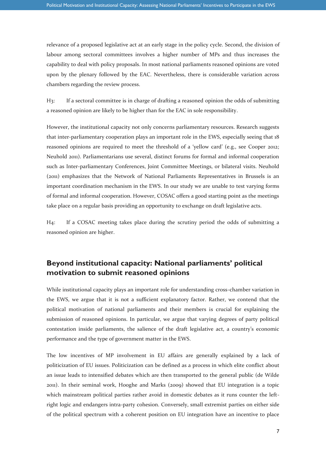relevance of a proposed legislative act at an early stage in the policy cycle. Second, the division of labour among sectoral committees involves a higher number of MPs and thus increases the capability to deal with policy proposals. In most national parliaments reasoned opinions are voted upon by the plenary followed by the EAC. Nevertheless, there is considerable variation across chambers regarding the review process.

H3: If a sectoral committee is in charge of drafting a reasoned opinion the odds of submitting a reasoned opinion are likely to be higher than for the EAC in sole responsibility.

However, the institutional capacity not only concerns parliamentary resources. Research suggests that inter-parliamentary cooperation plays an important role in the EWS, especially seeing that 18 reasoned opinions are required to meet the threshold of a 'yellow card' (e.g., see Cooper 2012; Neuhold 2011). Parliamentarians use several, distinct forums for formal and informal cooperation such as Inter-parliamentary Conferences, Joint Committee Meetings, or bilateral visits. Neuhold (2011) emphasizes that the Network of National Parliaments Representatives in Brussels is an important coordination mechanism in the EWS. In our study we are unable to test varying forms of formal and informal cooperation. However, COSAC offers a good starting point as the meetings take place on a regular basis providing an opportunity to exchange on draft legislative acts.

H4: If a COSAC meeting takes place during the scrutiny period the odds of submitting a reasoned opinion are higher.

#### **Beyond institutional capacity: National parliaments' political motivation to submit reasoned opinions**

While institutional capacity plays an important role for understanding cross-chamber variation in the EWS, we argue that it is not a sufficient explanatory factor. Rather, we contend that the political motivation of national parliaments and their members is crucial for explaining the submission of reasoned opinions. In particular, we argue that varying degrees of party political contestation inside parliaments, the salience of the draft legislative act, a country's economic performance and the type of government matter in the EWS.

The low incentives of MP involvement in EU affairs are generally explained by a lack of politicization of EU issues. Politicization can be defined as a process in which elite conflict about an issue leads to intensified debates which are then transported to the general public (de Wilde 2011). In their seminal work, Hooghe and Marks (2009) showed that EU integration is a topic which mainstream political parties rather avoid in domestic debates as it runs counter the leftright logic and endangers intra-party cohesion. Conversely, small extremist parties on either side of the political spectrum with a coherent position on EU integration have an incentive to place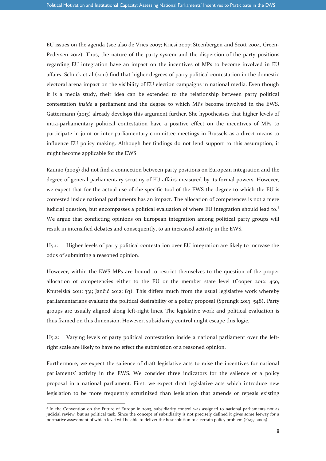EU issues on the agenda (see also de Vries 2007; Kriesi 2007; Steenbergen and Scott 2004, Green-Pedersen 2012). Thus, the nature of the party system and the dispersion of the party positions regarding EU integration have an impact on the incentives of MPs to become involved in EU affairs. Schuck et al (2011) find that higher degrees of party political contestation in the domestic electoral arena impact on the visibility of EU election campaigns in national media. Even though it is a media study, their idea can be extended to the relationship between party political contestation *inside* a parliament and the degree to which MPs become involved in the EWS. Gattermann (2013) already develops this argument further. She hypothesises that higher levels of intra-parliamentary political contestation have a positive effect on the incentives of MPs to participate in joint or inter-parliamentary committee meetings in Brussels as a direct means to influence EU policy making. Although her findings do not lend support to this assumption, it might become applicable for the EWS.

Raunio (2005) did not find a connection between party positions on European integration and the degree of general parliamentary scrutiny of EU affairs measured by its formal powers. However, we expect that for the actual use of the specific tool of the EWS the degree to which the EU is contested inside national parliaments has an impact. The allocation of competences is not a mere judicial question, but encompasses a political evaluation of where EU integration should lead to.<sup>3</sup> We argue that conflicting opinions on European integration among political party groups will result in intensified debates and consequently, to an increased activity in the EWS.

H5.1: Higher levels of party political contestation over EU integration are likely to increase the odds of submitting a reasoned opinion.

However, within the EWS MPs are bound to restrict themselves to the question of the proper allocation of competencies either to the EU or the member state level (Cooper 2012: 450, Knutelská 2011: 331; Jančić 2012: 83). This differs much from the usual legislative work whereby parliamentarians evaluate the political desirability of a policy proposal (Sprungk 2013: 548). Party groups are usually aligned along left-right lines. The legislative work and political evaluation is thus framed on this dimension. However, subsidiarity control might escape this logic.

H5.2: Varying levels of party political contestation inside a national parliament over the leftright scale are likely to have no effect the submission of a reasoned opinion.

Furthermore, we expect the salience of draft legislative acts to raise the incentives for national parliaments' activity in the EWS. We consider three indicators for the salience of a policy proposal in a national parliament. First, we expect draft legislative acts which introduce new legislation to be more frequently scrutinized than legislation that amends or repeals existing

-

<sup>&</sup>lt;sup>3</sup> In the Convention on the Future of Europe in 2003, subsidiarity control was assigned to national parliaments not as judicial review, but as political task. Since the concept of subsidiarity is not precisely defined it gives some leeway for a normative assessment of which level will be able to deliver the best solution to a certain policy problem (Fraga 2005).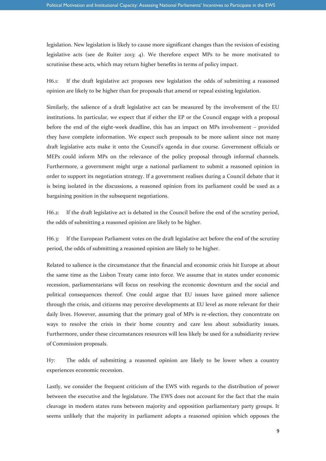legislation. New legislation is likely to cause more significant changes than the revision of existing legislative acts (see de Ruiter 2013: 4). We therefore expect MPs to be more motivated to scrutinise these acts, which may return higher benefits in terms of policy impact.

H6.1: If the draft legislative act proposes new legislation the odds of submitting a reasoned opinion are likely to be higher than for proposals that amend or repeal existing legislation.

Similarly, the salience of a draft legislative act can be measured by the involvement of the EU institutions. In particular, we expect that if either the EP or the Council engage with a proposal before the end of the eight-week deadline, this has an impact on MPs involvement – provided they have complete information. We expect such proposals to be more salient since not many draft legislative acts make it onto the Council's agenda in due course. Government officials or MEPs could inform MPs on the relevance of the policy proposal through informal channels. Furthermore, a government might urge a national parliament to submit a reasoned opinion in order to support its negotiation strategy. If a government realises during a Council debate that it is being isolated in the discussions, a reasoned opinion from its parliament could be used as a bargaining position in the subsequent negotiations.

H6.2: If the draft legislative act is debated in the Council before the end of the scrutiny period, the odds of submitting a reasoned opinion are likely to be higher.

H6.3: If the European Parliament votes on the draft legislative act before the end of the scrutiny period, the odds of submitting a reasoned opinion are likely to be higher.

Related to salience is the circumstance that the financial and economic crisis hit Europe at about the same time as the Lisbon Treaty came into force. We assume that in states under economic recession, parliamentarians will focus on resolving the economic downturn and the social and political consequences thereof. One could argue that EU issues have gained more salience through the crisis, and citizens may perceive developments at EU level as more relevant for their daily lives. However, assuming that the primary goal of MPs is re-election, they concentrate on ways to resolve the crisis in their home country and care less about subsidiarity issues. Furthermore, under these circumstances resources will less likely be used for a subsidiarity review of Commission proposals.

H7: The odds of submitting a reasoned opinion are likely to be lower when a country experiences economic recession.

Lastly, we consider the frequent criticism of the EWS with regards to the distribution of power between the executive and the legislature. The EWS does not account for the fact that the main cleavage in modern states runs between majority and opposition parliamentary party groups. It seems unlikely that the majority in parliament adopts a reasoned opinion which opposes the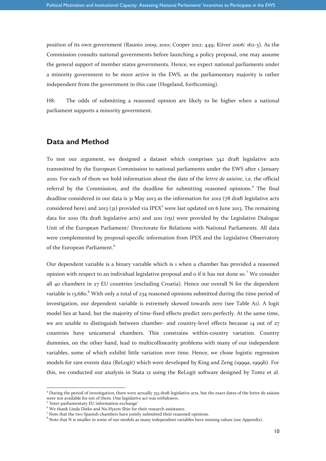position of its own government (Raunio 2009; 2010; Cooper 2012: 449; Kiiver 2006: 162-3). As the Commission consults national governments before launching a policy proposal, one may assume the general support of member states governments. Hence, we expect national parliaments under a minority government to be more active in the EWS, as the parliamentary majority is rather independent from the government in this case (Hegeland, forthcoming).

H8: The odds of submitting a reasoned opinion are likely to be higher when a national parliament supports a minority government.

#### **Data and Method**

To test our argument, we designed a dataset which comprises 342 draft legislative acts transmitted by the European Commission to national parliaments under the EWS after 1 January 2010. For each of them we hold information about the date of the *lettre de saisine*, i.e. the official referral by the Commission, and the deadline for submitting reasoned opinions.<sup>4</sup> The final deadline considered in our data is 31 May 2013 as the information for 2012 (78 draft legislative acts considered here) and 2013 (31) provided via IPEX<sup>5</sup> were last updated on 6 June 2013. The remaining data for 2010 (82 draft legislative acts) and 2011 (151) were provided by the Legislative Dialogue Unit of the European Parliament/ Directorate for Relations with National Parliaments. All data were complemented by proposal-specific information from IPEX and the Legislative Observatory of the European Parliament.<sup>6</sup>

Our dependent variable is a binary variable which is 1 when a chamber has provided a reasoned opinion with respect to an individual legislative proposal and  $\sigma$  if it has not done so.<sup>7</sup> We consider all 40 chambers in 27 EU countries (excluding Croatia). Hence our overall N for the dependent variable is 13,680.<sup>8</sup> With only a total of 234 reasoned opinions submitted during the time period of investigation, our dependent variable is extremely skewed towards zero (see Table A1). A logit model lies at hand, but the majority of time-fixed effects predict zero perfectly. At the same time, we are unable to distinguish between chamber- and country-level effects because 14 out of 27 countries have unicameral chambers. This constrains within-country variation. Country dummies, on the other hand, lead to multicollinearity problems with many of our independent variables, some of which exhibit little variation over time. Hence, we chose logistic regression models for rare events data (ReLogit) which were developed by King and Zeng (1999a, 1999b). For this, we conducted our analysis in Stata 12 using the ReLogit software designed by Tomz et al.

-

<sup>4</sup> During the period of investigation, there were actually 353 draft legislative acts, but the exact dates of the lettre de saisine were not available for ten of them. One legislative act was withdrawn.

<sup>5</sup> 'Inter-parliamentary EU information exchange'

We thank Linda Dieke and Na-Hyeon Shin for their research assistance.

<sup>&</sup>lt;sup>7</sup> Note that the two Spanish chambers have jointly submitted their reasoned opinions.

<sup>&</sup>lt;sup>8</sup> Note that N is smaller in some of our models as many independent variables have missing values (see Appendix).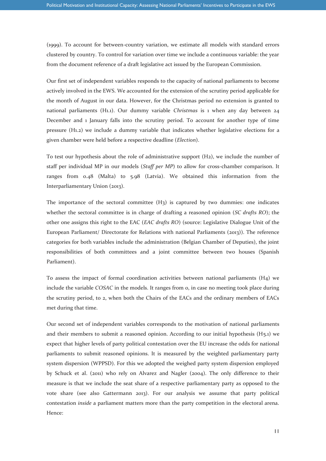(1999). To account for between-country variation, we estimate all models with standard errors clustered by country. To control for variation over time we include a continuous variable: the year from the document reference of a draft legislative act issued by the European Commission.

Our first set of independent variables responds to the capacity of national parliaments to become actively involved in the EWS. We accounted for the extension of the scrutiny period applicable for the month of August in our data. However, for the Christmas period no extension is granted to national parliaments (H1.1). Our dummy variable *Christmas* is 1 when any day between 24 December and 1 January falls into the scrutiny period. To account for another type of time pressure (H1.2) we include a dummy variable that indicates whether legislative elections for a given chamber were held before a respective deadline (*Election*).

To test our hypothesis about the role of administrative support (H2), we include the number of staff per individual MP in our models (*Staff per MP*) to allow for cross-chamber comparison. It ranges from 0.48 (Malta) to 5.98 (Latvia). We obtained this information from the Interparliamentary Union (2013).

The importance of the sectoral committee  $(H<sub>3</sub>)$  is captured by two dummies: one indicates whether the sectoral committee is in charge of drafting a reasoned opinion (*SC drafts RO*); the other one assigns this right to the EAC (*EAC drafts RO*) (source: Legislative Dialogue Unit of the European Parliament/ Directorate for Relations with national Parliaments (2013)). The reference categories for both variables include the administration (Belgian Chamber of Deputies), the joint responsibilities of both committees and a joint committee between two houses (Spanish Parliament).

To assess the impact of formal coordination activities between national parliaments (H4) we include the variable *COSAC* in the models. It ranges from 0, in case no meeting took place during the scrutiny period, to 2, when both the Chairs of the EACs and the ordinary members of EACs met during that time.

Our second set of independent variables corresponds to the motivation of national parliaments and their members to submit a reasoned opinion. According to our initial hypothesis  $(H_5.1)$  we expect that higher levels of party political contestation over the EU increase the odds for national parliaments to submit reasoned opinions. It is measured by the weighted parliamentary party system dispersion (WPPSD). For this we adopted the weighed party system dispersion employed by Schuck et al. (2011) who rely on Alvarez and Nagler (2004). The only difference to their measure is that we include the seat share of a respective parliamentary party as opposed to the vote share (see also Gattermann 2013). For our analysis we assume that party political contestation *inside* a parliament matters more than the party competition in the electoral arena. Hence: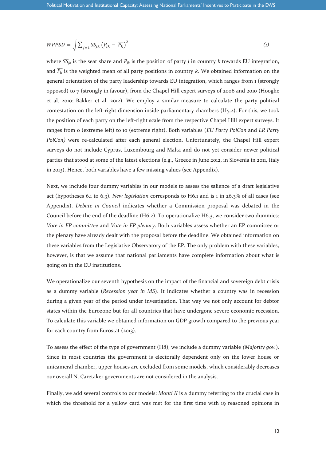$$
WPPSD = \sqrt{\sum_{j=1} S S_{jk} (P_{jk} - \overline{P_k})^2}
$$
 (1)

where  $SS_{jk}$  is the seat share and  $P_{jk}$  is the position of party *j* in country *k* towards EU integration, and  $\overline{P_k}$  is the weighted mean of all party positions in country *k*. We obtained information on the general orientation of the party leadership towards EU integration, which ranges from 1 (strongly opposed) to 7 (strongly in favour), from the Chapel Hill expert surveys of 2006 and 2010 (Hooghe et al. 2010; Bakker et al. 2012). We employ a similar measure to calculate the party political contestation on the left-right dimension inside parliamentary chambers  $(H_5.2)$ . For this, we took the position of each party on the left-right scale from the respective Chapel Hill expert surveys. It ranges from 0 (extreme left) to 10 (extreme right). Both variables (*EU Party PolCon* and *LR Party PolCon)* were re-calculated after each general election. Unfortunately, the Chapel Hill expert surveys do not include Cyprus, Luxembourg and Malta and do not yet consider newer political parties that stood at some of the latest elections (e.g., Greece in June 2012, in Slovenia in 2011, Italy in 2013). Hence, both variables have a few missing values (see Appendix).

Next, we include four dummy variables in our models to assess the salience of a draft legislative act (hypotheses 6.1 to 6.3). *New legislation* corresponds to H6.1 and is 1 in 26.3% of all cases (see Appendix). *Debate in Council* indicates whether a Commission proposal was debated in the Council before the end of the deadline (H6.2). To operationalize H6.3, we consider two dummies: *Vote in EP committee* and *Vote in EP plenary*. Both variables assess whether an EP committee or the plenary have already dealt with the proposal before the deadline. We obtained information on these variables from the Legislative Observatory of the EP. The only problem with these variables, however, is that we assume that national parliaments have complete information about what is going on in the EU institutions.

We operationalize our seventh hypothesis on the impact of the financial and sovereign debt crisis as a dummy variable (*Recession year in MS*). It indicates whether a country was in recession during a given year of the period under investigation. That way we not only account for debtor states within the Eurozone but for all countries that have undergone severe economic recession. To calculate this variable we obtained information on GDP growth compared to the previous year for each country from Eurostat (2013).

To assess the effect of the type of government (H8), we include a dummy variable *(Majority gov.*). Since in most countries the government is electorally dependent only on the lower house or unicameral chamber, upper houses are excluded from some models, which considerably decreases our overall N. Caretaker governments are not considered in the analysis.

Finally, we add several controls to our models: *Monti II* is a dummy referring to the crucial case in which the threshold for a yellow card was met for the first time with 19 reasoned opinions in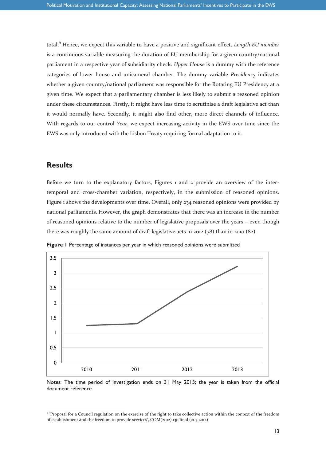total.<sup>9</sup> Hence, we expect this variable to have a positive and significant effect. *Length EU member* is a continuous variable measuring the duration of EU membership for a given country/national parliament in a respective year of subsidiarity check. *Upper House* is a dummy with the reference categories of lower house and unicameral chamber. The dummy variable *Presidency* indicates whether a given country/national parliament was responsible for the Rotating EU Presidency at a given time. We expect that a parliamentary chamber is less likely to submit a reasoned opinion under these circumstances. Firstly, it might have less time to scrutinise a draft legislative act than it would normally have. Secondly, it might also find other, more direct channels of influence. With regards to our control *Year*, we expect increasing activity in the EWS over time since the EWS was only introduced with the Lisbon Treaty requiring formal adaptation to it.

#### **Results**

-

Before we turn to the explanatory factors, Figures 1 and 2 provide an overview of the intertemporal and cross-chamber variation, respectively, in the submission of reasoned opinions. Figure 1 shows the developments over time. Overall, only 234 reasoned opinions were provided by national parliaments. However, the graph demonstrates that there was an increase in the number of reasoned opinions relative to the number of legislative proposals over the years – even though there was roughly the same amount of draft legislative acts in 2012 (78) than in 2010 (82).



**Figure 1** Percentage of instances per year in which reasoned opinions were submitted

Notes: The time period of investigation ends on 31 May 2013; the year is taken from the official document reference.

<sup>&</sup>lt;sup>9</sup> 'Proposal for a Council regulation on the exercise of the right to take collective action within the context of the freedom of establishment and the freedom to provide services', COM(2012) 130 final (21.3.2012)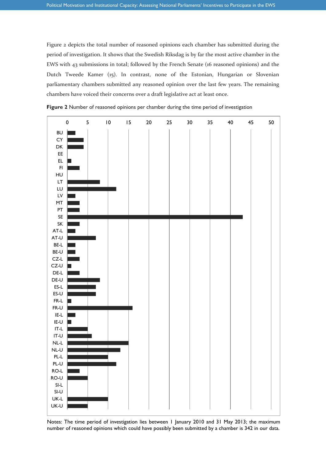Figure 2 depicts the total number of reasoned opinions each chamber has submitted during the period of investigation. It shows that the Swedish Riksdag is by far the most active chamber in the EWS with 43 submissions in total; followed by the French Senate (16 reasoned opinions) and the Dutch Tweede Kamer (15). In contrast, none of the Estonian, Hungarian or Slovenian parliamentary chambers submitted any reasoned opinion over the last few years. The remaining chambers have voiced their concerns over a draft legislative act at least once.





number of reasoned opinions which could have possibly been submitted by a chamber is 342 in our data. Notes: The time period of investigation lies between 1 January 2010 and 31 May 2013; the maximum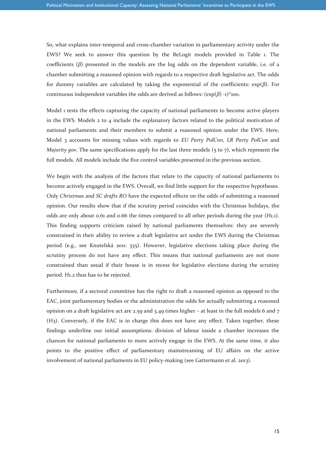So, what explains inter-temporal and cross-chamber variation in parliamentary activity under the EWS? We seek to answer this question by the ReLogit models provided in Table 1. The coefficients (*β*) presented in the models are the log odds on the dependent variable, i.e. of a chamber submitting a reasoned opinion with regards to a respective draft legislative act. The odds for dummy variables are calculated by taking the exponential of the coefficients: exp(*β*). For continuous independent variables the odds are derived as follows:  $(\exp(\beta) -1)^*$ 100.

Model 1 tests the effects capturing the capacity of national parliaments to become active players in the EWS. Models  $2$  to  $4$  include the explanatory factors related to the political motivation of national parliaments and their members to submit a reasoned opinion under the EWS. Here, Model 3 accounts for missing values with regards to *EU Party PolCon*, *LR Party PolCon* and *Majority gov*. The same specifications apply for the last three models (5 to 7), which represent the full models. All models include the five control variables presented in the previous section.

We begin with the analysis of the factors that relate to the capacity of national parliaments to become actively engaged in the EWS. Overall, we find little support for the respective hypotheses. Only *Christmas* and *SC drafts RO* have the expected effects on the odds of submitting a reasoned opinion. Our results show that if the scrutiny period coincides with the Christmas holidays, the odds are only about 0.61 and 0.66 the times compared to all other periods during the year (H1.1). This finding supports criticism raised by national parliaments themselves: they are severely constrained in their ability to review a draft legislative act under the EWS during the Christmas period (e.g., see Knutelská 2011: 335). However, legislative elections taking place during the scrutiny process do not have any effect. This means that national parliaments are not more constrained than usual if their house is in recess for legislative elections during the scrutiny period. H1.2 thus has to be rejected.

Furthermore, if a sectoral committee has the right to draft a reasoned opinion as opposed to the EAC, joint parliamentary bodies or the administration the odds for actually submitting a reasoned opinion on a draft legislative act are 2.59 and 3.49 times higher – at least in the full models 6 and 7 (H3). Conversely, if the EAC is in charge this does not have any effect. Taken together, these findings underline our initial assumptions: division of labour inside a chamber increases the chances for national parliaments to more actively engage in the EWS. At the same time, it also points to the positive effect of parliamentary mainstreaming of EU affairs on the active involvement of national parliaments in EU policy-making (see Gattermann et al. 2013).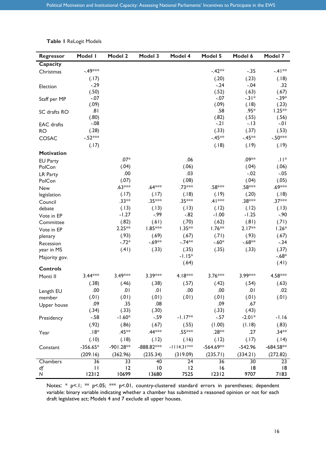|  |  | <b>Table I ReLogit Models</b> |
|--|--|-------------------------------|
|--|--|-------------------------------|

| <b>Regressor</b>  | Model I      | <b>Model 2</b> | Model 3         | Model 4           | Model 5      | Model 6         | Model 7           |
|-------------------|--------------|----------------|-----------------|-------------------|--------------|-----------------|-------------------|
| Capacity          |              |                |                 |                   |              |                 |                   |
| Christmas         | $-49***$     |                |                 |                   | $-.42**$     | $-.35$          | $-41**$           |
|                   | (.17)        |                |                 |                   | (.20)        | (.23)           | (.18)             |
| Election          | $-.29$       |                |                 |                   | $-0.24$      | $-.04$          | .32               |
|                   | (.50)        |                |                 |                   | (.52)        | (.63)           | (.67)             |
| Staff per MP      | $-.07$       |                |                 |                   | $-.07$       | $-31*$          | $-.39*$           |
|                   | (.09)<br>.81 |                |                 |                   | (.09)<br>.58 | (.18)<br>$.95*$ | (.23)<br>$1.25**$ |
| SC drafts RO      | (.80)        |                |                 |                   | (.82)        | (.55)           | (.56)             |
| <b>EAC</b> drafts | $-.08$       |                |                 |                   | $-.21$       | $-.13$          | $-0.01$           |
| <b>RO</b>         | (.28)        |                |                 |                   | (.33)        | (.37)           | (.53)             |
| COSAC             | $-.52***$    |                |                 |                   | $-.45**$     | $-.45**$        | $-.50***$         |
|                   | (.17)        |                |                 |                   | (.18)        | (.19)           | (.19)             |
| <b>Motivation</b> |              |                |                 |                   |              |                 |                   |
| <b>EU Party</b>   |              | $.07*$         |                 | .06               |              | .09**           | $.  $ $*$         |
| PolCon            |              | (.04)          |                 | (.06)             |              | (.04)           | (.06)             |
| <b>LR Party</b>   |              | .00            |                 | .03               |              | $-.02$          | $-.05$            |
| PolCon            |              | (.07)          |                 | (.08)             |              | (.04)           | (.05)             |
| New               |              | $.63***$       | $.64***$        | .73***            | .58***       | .58***          | .69***            |
| legislation       |              | (.17)          | (.17)           | (.18)             | (.19)        | (.20)           | (.18)             |
| Council           |              | $.33**$        | .35***          | .35***            | $.41***$     | .38***          | $.37***$          |
| debate            |              | (.13)          | (.13)           | (.13)             | (.12)        | (.12)           | (.13)             |
| Vote in EP        |              | $-1.27$        | $-.99$          | $-.82$            | $-1.00$      | $-1.25$         | $-.90$            |
| Committee         |              | (.82)          | (.61)           | (.70)             | (.62)        | (.81)           | (.71)             |
| Vote in EP        |              | $2.25**$       | 1.85***         | $1.35**$          | $1.76**$     | $2.17**$        | $1.26*$           |
| plenary           |              | (.93)          | (.69)           | (.67)             | (.71)        | (.93)           | (.67)             |
| Recession         |              | $-.72*$        | $-.69**$        | $-.74**$          | $-.60*$      | $-.68**$        | $-.34$            |
| year in MS        |              | (.41)          | (.33)           | (.35)             | (.35)        | (.33)           | (.37)             |
| Majority gov.     |              |                |                 | $-1.15*$<br>(.64) |              |                 | $-.68*$<br>(.41)  |
| <b>Controls</b>   |              |                |                 |                   |              |                 |                   |
| Monti II          | $3.44***$    | 3.49***        | 3.39***         | 4.18 ***          | 3.76***      | 3.99***         | 4.58***           |
|                   | (.38)        | (.46)          | (.38)           | (.57)             | (.42)        | (.54)           | (.63)             |
| Length EU         | .00          | 10.            | .01             | .00               | .00          | .01             | .02               |
| member            | (0.01)       | (.01)          | (.01)           | (.01)             | (.01)        | (.01)           | (0.01)            |
| Upper house       | .09          | .35            | .08             |                   | .09          | .67             |                   |
|                   | (.34)        | (.33)          | (.30)           |                   | (.33)        | (.43)           |                   |
| Presidency        | $-.58$       | $-1.60*$       | $-.59$          | $-1.17**$         | $-.57$       | $-2.01*$        | $-1.16$           |
|                   | (.92)        | (.86)          | (.67)           | (.55)             | (1.00)       | (1.18)          | (.83)             |
| Year              | $.18*$       | .45**          | .44***          | $.55***$          | $.28**$      | .27             | $.34**$           |
|                   | (.10)        | (.18)          | (.12)           | (.16)             | (.12)        | (.17)           | (.14)             |
| Constant          | $-356.65*$   | $-901.28**$    | -888.82 ***     | $-1114.31***$     | $-564.69**$  | $-542.96$       | $-684.58**$       |
|                   | (209.16)     | (362.96)       | (235.34)        | (319.09)          | (235.71)     | (334.21)        | (272.82)          |
| Chambers          | 36           | 33             | 40              | 24                | 36           | 30              | 23                |
| df                | $\mathbf{H}$ | 12             | $\overline{10}$ | 12                | 16           | 8               | 8                 |
| ${\sf N}$         | 12312        | 10699          | 13680           | 7525              | 12312        | 9707            | 7183              |

Notes: \* p<.1; \*\* p<.05; \*\*\* p<.01, country-clustered standard errors in parentheses; dependent variable: binary variable indicating whether a chamber has submitted a reasoned opinion or not for each draft legislative act; Models 4 and 7 exclude all upper houses.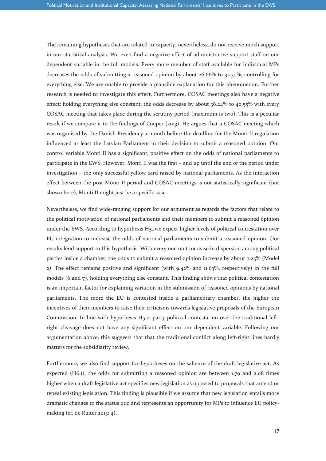The remaining hypotheses that are related to capacity, nevertheless, do not receive much support in our statistical analysis. We even find a negative effect of administrative support staff on our dependent variable in the full models. Every more member of staff available for individual MPs decreases the odds of submitting a reasoned opinion by about 26.66% to 32.30%, controlling for everything else. We are unable to provide a plausible explanation for this phenomenon. Further research is needed to investigate this effect. Furthermore, COSAC meetings also have a negative effect: holding everything else constant, the odds decrease by about 36.24% to 40.55% with every COSAC meeting that takes place during the scrutiny period (maximum is two). This is a peculiar result if we compare it to the findings of Cooper (2013). He argues that a COSAC meeting which was organised by the Danish Presidency a month before the deadline for the Monti II regulation influenced at least the Latvian Parliament in their decision to submit a reasoned opinion. Our control variable Monti II has a significant, positive effect on the odds of national parliaments to participate in the EWS. However, Monti II was the first – and up until the end of the period under investigation – the only successful yellow card raised by national parliaments. As the interaction effect between the post-Monti II period and COSAC meetings is not statistically significant (not shown here), Monti II might just be a specific case.

Nevertheless, we find wide-ranging support for our argument as regards the factors that relate to the political motivation of national parliaments and their members to submit a reasoned opinion under the EWS. According to hypothesis H5.1we expect higher levels of political contestation over EU integration to increase the odds of national parliaments to submit a reasoned opinion. Our results lend support to this hypothesis. With every one unit increase in dispersion among political parties inside a chamber, the odds to submit a reasoned opinion increase by about 7.25% (Model 2). The effect remains positive and significant (with  $9.42\%$  and  $1.63\%$ , respectively) in the full models (6 and 7), holding everything else constant. This finding shows that political contestation is an important factor for explaining variation in the submission of reasoned opinions by national parliaments. The more the EU is contested inside a parliamentary chamber, the higher the incentives of their members to raise their criticisms towards legislative proposals of the European Commission. In line with hypothesis H5.2, party political contestation over the traditional leftright cleavage does not have any significant effect on our dependent variable. Following our argumentation above, this suggests that that the traditional conflict along left-right lines hardly matters for the subsidiarity review.

Furthermore, we also find support for hypotheses on the salience of the draft legislative act. As expected (H6.1), the odds for submitting a reasoned opinion are between 1.79 and 2.08 times higher when a draft legislative act specifies new legislation as opposed to proposals that amend or repeal existing legislation. This finding is plausible if we assume that new legislation entails more dramatic changes to the status quo and represents an opportunity for MPs to influence EU policymaking (cf. de Ruiter 2013: 4).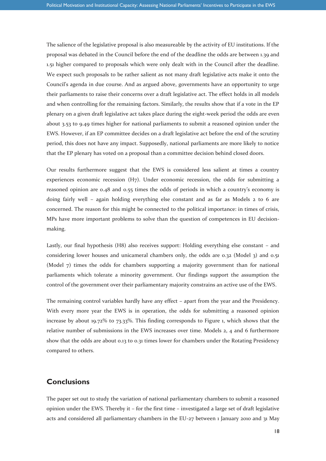The salience of the legislative proposal is also measureable by the activity of EU institutions. If the proposal was debated in the Council before the end of the deadline the odds are between 1.39 and 1.51 higher compared to proposals which were only dealt with in the Council after the deadline. We expect such proposals to be rather salient as not many draft legislative acts make it onto the Council's agenda in due course. And as argued above, governments have an opportunity to urge their parliaments to raise their concerns over a draft legislative act. The effect holds in all models and when controlling for the remaining factors. Similarly, the results show that if a vote in the EP plenary on a given draft legislative act takes place during the eight-week period the odds are even about 3.53 to 9.49 times higher for national parliaments to submit a reasoned opinion under the EWS. However, if an EP committee decides on a draft legislative act before the end of the scrutiny period, this does not have any impact. Supposedly, national parliaments are more likely to notice that the EP plenary has voted on a proposal than a committee decision behind closed doors.

Our results furthermore suggest that the EWS is considered less salient at times a country experiences economic recession  $(H<sub>7</sub>)$ . Under economic recession, the odds for submitting a reasoned opinion are 0.48 and 0.55 times the odds of periods in which a country's economy is doing fairly well – again holding everything else constant and as far as Models 2 to 6 are concerned. The reason for this might be connected to the political importance: in times of crisis, MPs have more important problems to solve than the question of competences in EU decisionmaking.

Lastly, our final hypothesis (H8) also receives support: Holding everything else constant – and considering lower houses and unicameral chambers only, the odds are 0.32 (Model 3) and 0.51 (Model 7) times the odds for chambers supporting a majority government than for national parliaments which tolerate a minority government. Our findings support the assumption the control of the government over their parliamentary majority constrains an active use of the EWS.

The remaining control variables hardly have any effect – apart from the year and the Presidency. With every more year the EWS is in operation, the odds for submitting a reasoned opinion increase by about 19.72% to 73.33%. This finding corresponds to Figure 1, which shows that the relative number of submissions in the EWS increases over time. Models 2, 4 and 6 furthermore show that the odds are about 0.13 to 0.31 times lower for chambers under the Rotating Presidency compared to others.

#### **Conclusions**

The paper set out to study the variation of national parliamentary chambers to submit a reasoned opinion under the EWS. Thereby it – for the first time – investigated a large set of draft legislative acts and considered all parliamentary chambers in the EU-27 between 1 January 2010 and 31 May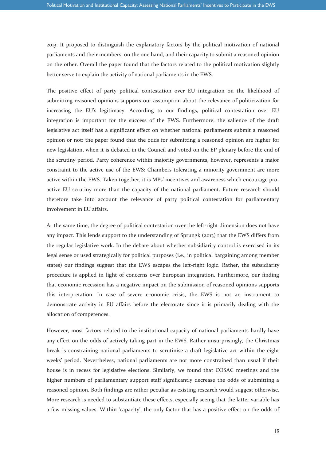2013. It proposed to distinguish the explanatory factors by the political motivation of national parliaments and their members, on the one hand, and their capacity to submit a reasoned opinion on the other. Overall the paper found that the factors related to the political motivation slightly better serve to explain the activity of national parliaments in the EWS.

The positive effect of party political contestation over EU integration on the likelihood of submitting reasoned opinions supports our assumption about the relevance of politicization for increasing the EU's legitimacy. According to our findings, political contestation over EU integration is important for the success of the EWS. Furthermore, the salience of the draft legislative act itself has a significant effect on whether national parliaments submit a reasoned opinion or not: the paper found that the odds for submitting a reasoned opinion are higher for new legislation, when it is debated in the Council and voted on the EP plenary before the end of the scrutiny period. Party coherence within majority governments, however, represents a major constraint to the active use of the EWS: Chambers tolerating a minority government are more active within the EWS. Taken together, it is MPs' incentives and awareness which encourage proactive EU scrutiny more than the capacity of the national parliament. Future research should therefore take into account the relevance of party political contestation for parliamentary involvement in EU affairs.

At the same time, the degree of political contestation over the left-right dimension does not have any impact. This lends support to the understanding of Sprungk (2013) that the EWS differs from the regular legislative work. In the debate about whether subsidiarity control is exercised in its legal sense or used strategically for political purposes (i.e., in political bargaining among member states) our findings suggest that the EWS escapes the left-right logic. Rather, the subsidiarity procedure is applied in light of concerns over European integration. Furthermore, our finding that economic recession has a negative impact on the submission of reasoned opinions supports this interpretation. In case of severe economic crisis, the EWS is not an instrument to demonstrate activity in EU affairs before the electorate since it is primarily dealing with the allocation of competences.

However, most factors related to the institutional capacity of national parliaments hardly have any effect on the odds of actively taking part in the EWS. Rather unsurprisingly, the Christmas break is constraining national parliaments to scrutinise a draft legislative act within the eight weeks' period. Nevertheless, national parliaments are not more constrained than usual if their house is in recess for legislative elections. Similarly, we found that COSAC meetings and the higher numbers of parliamentary support staff significantly decrease the odds of submitting a reasoned opinion. Both findings are rather peculiar as existing research would suggest otherwise. More research is needed to substantiate these effects, especially seeing that the latter variable has a few missing values. Within 'capacity', the only factor that has a positive effect on the odds of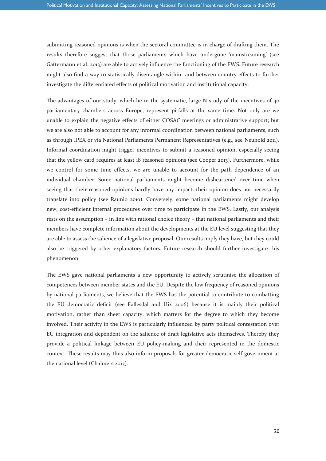submitting reasoned opinions is when the sectoral committee is in charge of drafting them. The results therefore suggest that those parliaments which have undergone 'mainstreaming' (see Gattermann et al. 2013) are able to actively influence the functioning of the EWS. Future research might also find a way to statistically disentangle within- and between-country effects to further investigate the differentiated effects of political motivation and institutional capacity.

The advantages of our study, which lie in the systematic, large-N study of the incentives of 40 parliamentary chambers across Europe, represent pitfalls at the same time. Not only are we unable to explain the negative effects of either COSAC meetings or administrative support; but we are also not able to account for any informal coordination between national parliaments, such as through IPEX or via National Parliaments Permanent Representatives (e.g., see Neuhold 2011). Informal coordination might trigger incentives to submit a reasoned opinion, especially seeing that the yellow card requires at least 18 reasoned opinions (see Cooper 2013). Furthermore, while we control for some time effects, we are unable to account for the path dependence of an individual chamber. Some national parliaments might become disheartened over time when seeing that their reasoned opinions hardly have any impact: their opinion does not necessarily translate into policy (see Raunio 2010). Conversely, some national parliaments might develop new, cost-efficient internal procedures over time to participate in the EWS. Lastly, our analysis rests on the assumption – in line with rational choice theory – that national parliaments and their members have complete information about the developments at the EU level suggesting that they are able to assess the salience of a legislative proposal. Our results imply they have, but they could also be triggered by other explanatory factors. Future research should further investigate this phenomenon.

The EWS gave national parliaments a new opportunity to actively scrutinise the allocation of competences between member states and the EU. Despite the low frequency of reasoned opinions by national parliaments, we believe that the EWS has the potential to contribute to combatting the EU democratic deficit (see Føllesdal and Hix 2006) because it is mainly their political motivation, rather than sheer capacity, which matters for the degree to which they become involved. Their activity in the EWS is particularly influenced by party political contestation over EU integration and dependent on the salience of draft legislative acts themselves. Thereby they provide a political linkage between EU policy-making and their represented in the domestic context. These results may thus also inform proposals for greater democratic self-government at the national level (Chalmers 2013).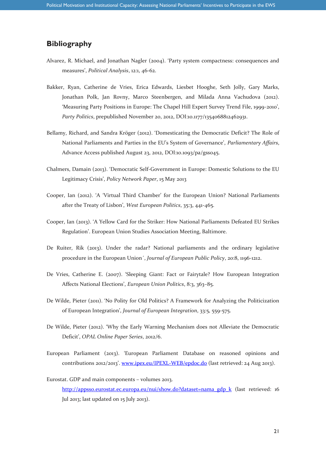#### **Bibliography**

- Alvarez, R. Michael, and Jonathan Nagler (2004). 'Party system compactness: consequences and measures', *Political Analysis*, 12:1, 46-62.
- Bakker, Ryan, Catherine de Vries, Erica Edwards, Liesbet Hooghe, Seth Jolly, Gary Marks, Jonathan Polk, Jan Rovny, Marco Steenbergen, and Milada Anna Vachudova (2012). 'Measuring Party Positions in Europe: The Chapel Hill Expert Survey Trend File, 1999-2010', *Party Politics*, prepublished November 20, 2012, DOI:10.1177/1354068812462931.
- Bellamy, Richard, and Sandra Kröger (2012). 'Domesticating the Democratic Deficit? The Role of National Parliaments and Parties in the EU's System of Governance', *Parliamentary Affairs*, Advance Access published August 23, 2012, DOI:10.1093/pa/gss045.
- Chalmers, Damain (2013). 'Democratic Self-Government in Europe: Domestic Solutions to the EU Legitimacy Crisis', *Policy Network Paper*, 15 May 2013
- Cooper, Ian (2012). 'A 'Virtual Third Chamber' for the European Union? National Parliaments after the Treaty of Lisbon', *West European Politics*, 35:3, 441-465.
- Cooper, Ian (2013). 'A Yellow Card for the Striker: How National Parliaments Defeated EU Strikes Regulation'. European Union Studies Association Meeting, Baltimore.
- De Ruiter, Rik (2013). [Under the radar? National parliaments and the ordinary legislative](http://www.tandfonline.com/doi/abs/10.1080/13501763.2012.760328)  [procedure in the European Union´](http://www.tandfonline.com/doi/abs/10.1080/13501763.2012.760328), *[Journal of European Public Policy](http://www.tandfonline.com/toc/rjpp20/20/8)*, 20:8, 1196-1212.
- De Vries, Catherine E. (2007). 'Sleeping Giant: Fact or Fairytale? How European Integration Affects National Elections', *European Union Politics*, 8:3, 363–85.
- De Wilde, Pieter (2011). 'No Polity for Old Politics? A Framework for Analyzing the Politicization of European Integration', *Journal of European Integration*, 33:5, 559-575.
- De Wilde, Pieter (2012). 'Why the Early Warning Mechanism does not Alleviate the Democratic Deficit', *OPAL Online Paper Series*, 2012/6.
- European Parliament (2013). 'European Parliament Database on reasoned opinions and contributions 2012/2013'. [www.ipex.eu/IPEXL-WEB/epdoc.do](http://www.ipex.eu/IPEXL-WEB/epdoc.do) (last retrieved: 24 Aug 2013).
- Eurostat. GDP and main components volumes 2013. [http://appsso.eurostat.ec.europa.eu/nui/show.do?dataset=nama\\_gdp\\_k](http://appsso.eurostat.ec.europa.eu/nui/show.do?dataset=nama_gdp_k) (last retrieved: 16 Jul 2013; last updated on 15 July 2013).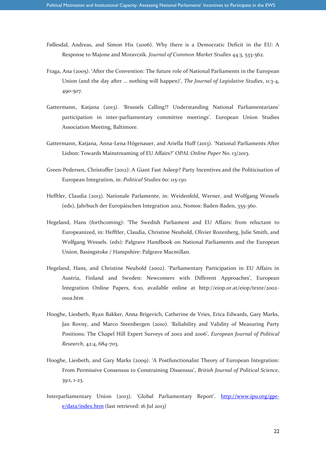- Føllesdal, Andreas, and Simon Hix (2006). Why there is a Democratic Deficit in the EU: A Response to Majone and Moravcsik. *Journal of Common Market Studies* 44:3, 533-562.
- Fraga, Ana (2005). 'After the Convention: The future role of National Parliaments in the European Union (and the day after … nothing will happen)', *The Journal of Legislative Studies*, 11:3-4, 490-507.
- Gattermann, Katjana (2013). 'Brussels Calling!? Understanding National Parliamentarians' participation in inter-parliamentary committee meetings'. European Union Studies Association Meeting, Baltimore.
- Gattermann, Katjana, Anna-Lena Högenauer, and Ariella Huff (2013). 'National Parliaments After Lisbon: Towards Mainstreaming of EU Affairs?' *OPAL Online Paper* No. 13/2013.
- Green-Pedersen, Christoffer (2012): A Giant Fast Asleep? Party Incentives and the Politicisation of European Integration, in: *Political Studies* 60: 115-130.
- Hefftler, Claudia (2013). Nationale Parlamente, in: Weidenfeld, Werner, and Wolfgang Wessels (eds), Jahrbuch der Europäischen Integration 2012, Nomos: Baden-Baden, 355-360.
- Hegeland, Hans (forthcoming): 'The Swedish Parliament and EU Affairs: from reluctant to Europeanized, in: Hefftler, Claudia, Christine Neuhold, Olivier Rozenberg, Julie Smith, and Wolfgang Wessels. (eds): Palgrave Handbook on National Parliaments and the European Union, Basingstoke / Hampshire: Palgrave Macmillan.
- Hegeland, Hans, and Christine Neuhold (2002). 'Parliamentary Participation in EU Affairs in Austria, Finland and Sweden: Newcomers with Different Approaches', European Integration Online Papers, 6:10, available online at http://eiop.or.at/eiop/texte/2002- 010a.htm
- Hooghe, Liesbeth, Ryan Bakker, Anna Brigevich, Catherine de Vries, Erica Edwards, Gary Marks, Jan Rovny, and Marco Steenbergen (2010). 'Reliability and Validity of Measuring Party Positions: The Chapel Hill Expert Surveys of 2002 and 2006', *European Journal of Political Research*, 42:4, 684-703.
- Hooghe, Liesbeth, and Gary Marks (2009). 'A Postfunctionalist Theory of European Integration: From Permissive Consensus to Constraining Dissensus', *British Journal of Political Science*, 39:1, 1-23.
- Interparliamentary Union (2013). 'Global Parliamentary Report'. [http://www.ipu.org/gpr](http://www.ipu.org/gpr-e/data/index.htm)[e/data/index.htm](http://www.ipu.org/gpr-e/data/index.htm) (last retrieved: 16 Jul 2013)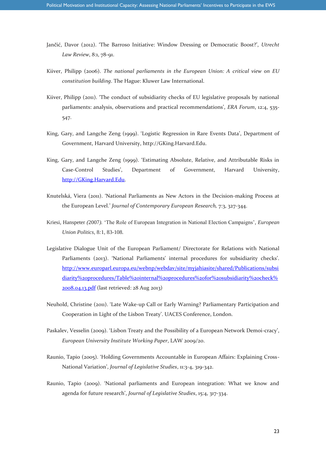- Jančić, Davor (2012). 'The Barroso Initiative: Window Dressing or Democratic Boost?', *Utrecht Law Review*, 8:1, 78-91.
- Kiiver, Philipp (2006). *The national parliaments in the European Union: A critical view on EU constitution building*. The Hague: Kluwer Law International.
- Kiiver, Philipp (2011). 'The conduct of subsidiarity checks of EU legislative proposals by national parliaments: analysis, observations and practical recommendations', *ERA Forum*, 12:4, 535- 547.
- King, Gary, and Langche Zeng (1999). 'Logistic Regression in Rare Events Data', Department of Government, Harvard University, http://GKing.Harvard.Edu.
- King, Gary, and Langche Zeng (1999). 'Estimating Absolute, Relative, and Attributable Risks in Case-Control Studies', Department of Government, Harvard University, [http://GKing.Harvard.Edu.](http://gking.harvard.edu/)
- Knutelská, Viera (2011). 'National Parliaments as New Actors in the Decision-making Process at the European Level.' *Journal of Contemporary European Research,* 7:3, 327-344.
- Kriesi, Hanspeter *(*2007*).* 'The Role of European Integration in National Election Campaigns'*, European Union Politics,* 8*:*1*,* 83*-*108*.*
- Legislative Dialogue Unit of the European Parliament/ Directorate for Relations with National Parliaments (2013). 'National Parliaments' internal procedures for subsidiarity checks'. [http://www.europarl.europa.eu/webnp/webdav/site/myjahiasite/shared/Publications/subsi](http://www.europarl.europa.eu/webnp/webdav/site/myjahiasite/shared/Publications/subsidiarity%20procedures/Table%20internal%20procedures%20for%20subsidiarity%20check%2008.04.13.pdf) [diarity%20procedures/Table%20internal%20procedures%20for%20subsidiarity%20check%](http://www.europarl.europa.eu/webnp/webdav/site/myjahiasite/shared/Publications/subsidiarity%20procedures/Table%20internal%20procedures%20for%20subsidiarity%20check%2008.04.13.pdf) [2008.04.13.pdf](http://www.europarl.europa.eu/webnp/webdav/site/myjahiasite/shared/Publications/subsidiarity%20procedures/Table%20internal%20procedures%20for%20subsidiarity%20check%2008.04.13.pdf) (last retrieved: 28 Aug 2013)
- Neuhold, Christine (2011). 'Late Wake-up Call or Early Warning? Parliamentary Participation and Cooperation in Light of the Lisbon Treaty'. UACES Conference, London.
- Paskalev, Vesselin (2009). 'Lisbon Treaty and the [Possibility of a European Network Demoi-](http://cadmus.eui.eu/dspace/handle/1814/13005)cracy', *[European University Institute Working Paper](http://cadmus.eui.eu/dspace/handle/1814/13005)*, LAW 2009/20.
- Raunio, Tapio (2005). 'Holding Governments Accountable in European Affairs: Explaining Cross-National Variation', *Journal of Legislative Studies*, 11:3-4, 319-342.
- Raunio, Tapio (2009). 'National parliaments and European integration: What we know and agenda for future research', *Journal of Legislative Studies*, 15:4, 317-334.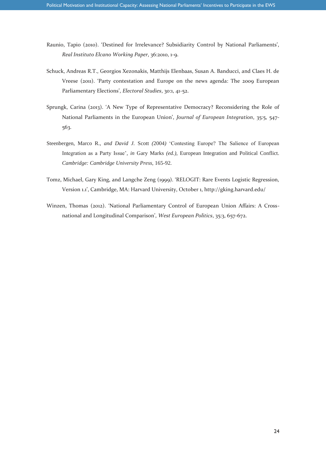- Raunio, Tapio (2010). 'Destined for Irrelevance? Subsidiarity Control by National Parliaments', *Real Instituto Elcano Working Paper*, 36:2010, 1-9.
- Schuck, Andreas R.T., Georgios Xezonakis, Matthijs Elenbaas, Susan A. Banducci, and Claes H. de Vreese (2011). 'Party contestation and Europe on the news agenda: The 2009 European Parliamentary Elections', *Electoral Studies*, 30:1, 41-52.
- Sprungk, Carina (2013). 'A New Type of Representative Democracy? Reconsidering the Role of National Parliaments in the European Union', *Journal of European Integration*, 35:5, 547- 563.
- Steenbergen, Marco R., *and David J.* Scott *(*2004*)* 'Contesting Europe? The Salience of European Integration as a Party Issue'*, in* Gary Marks *(ed.),* European Integration and Political Conflict*. Cambridge: Cambridge University Press,* 165*-*92*.*
- Tomz, Michael, Gary King, and Langche Zeng (1999). 'RELOGIT: Rare Events Logistic Regression, Version 1.1', Cambridge, MA: Harvard University, October 1, http://gking.harvard.edu/
- Winzen, Thomas (2012). 'National Parliamentary Control of European Union Affairs: A Crossnational and Longitudinal Comparison', *West European Politics*, 35:3, 657-672.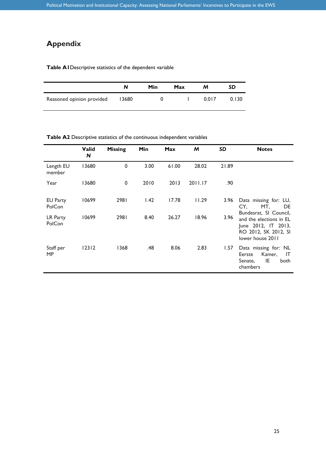# **Appendix**

#### **Table A1**Descriptive statistics of the dependent variable

|                           |       | Min | Max | м     | SD    |
|---------------------------|-------|-----|-----|-------|-------|
| Reasoned opinion provided | 13680 |     |     | 0.017 | 0.130 |

**Table A2** Descriptive statistics of the continuous independent variables

|                           | <b>Valid</b><br>N | <b>Missing</b> | Min  | <b>Max</b> | M       | <b>SD</b> | <b>Notes</b>                                                                                                         |
|---------------------------|-------------------|----------------|------|------------|---------|-----------|----------------------------------------------------------------------------------------------------------------------|
| Length EU<br>member       | 13680             | $\pmb{0}$      | 3.00 | 61.00      | 28.02   | 21.89     |                                                                                                                      |
| Year                      | 13680             | 0              | 2010 | 2013       | 2011.17 | .90       |                                                                                                                      |
| <b>EU Party</b><br>PolCon | 10699             | 2981           | 1.42 | 17.78      | 11.29   | 3.96      | Data missing for: LU,<br>CY.<br>MT,<br>DE                                                                            |
| LR Party<br>PolCon        | 10699             | 2981           | 8.40 | 26.27      | 18.96   | 3.96      | Bundesrat, SI Council,<br>and the elections in EL<br>June 2012, IT 2013,<br>RO 2012, SK 2012, SI<br>lower house 2011 |
| Staff per<br><b>MP</b>    | 12312             | 1368           | .48  | 8.06       | 2.83    | 1.57      | Data missing for: NL<br>Kamer,<br>Eerste<br>IT<br>IE<br>Senate,<br>both<br>chambers                                  |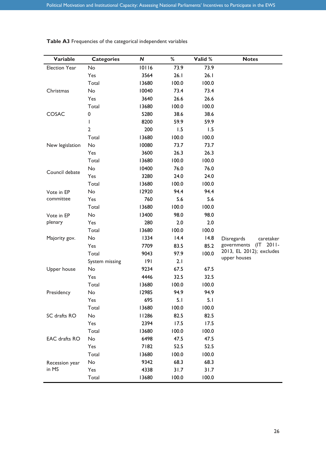| Variable        | <b>Categories</b> | $\mathbf N$ | $\%$  | Valid % | <b>Notes</b>                 |
|-----------------|-------------------|-------------|-------|---------|------------------------------|
| Election Year   | No                | 10116       | 73.9  | 73.9    |                              |
|                 | Yes               | 3564        | 26.1  | 26.1    |                              |
|                 | Total             | 13680       | 100.0 | 100.0   |                              |
| Christmas       | No                | 10040       | 73.4  | 73.4    |                              |
|                 | Yes               | 3640        | 26.6  | 26.6    |                              |
|                 | Total             | 13680       | 100.0 | 100.0   |                              |
| COSAC           | 0                 | 5280        | 38.6  | 38.6    |                              |
|                 | T                 | 8200        | 59.9  | 59.9    |                              |
|                 | $\overline{2}$    | 200         | 1.5   | 1.5     |                              |
|                 | Total             | 13680       | 100.0 | 100.0   |                              |
| New legislation | No                | 10080       | 73.7  | 73.7    |                              |
|                 | Yes               | 3600        | 26.3  | 26.3    |                              |
|                 | Total             | 13680       | 100.0 | 100.0   |                              |
| Council debate  | No                | 10400       | 76.0  | 76.0    |                              |
|                 | Yes               | 3280        | 24.0  | 24.0    |                              |
|                 | Total             | 13680       | 100.0 | 100.0   |                              |
| Vote in EP      | No                | 12920       | 94.4  | 94.4    |                              |
| committee       | Yes               | 760         | 5.6   | 5.6     |                              |
|                 | Total             | 13680       | 100.0 | 100.0   |                              |
| Vote in EP      | No                | 13400       | 98.0  | 98.0    |                              |
| plenary         | Yes               | 280         | 2.0   | 2.0     |                              |
|                 | Total             | 13680       | 100.0 | 100.0   |                              |
| Majority gov.   | No                | 1334        | 14.4  | 14.8    | Disregards<br>caretaker      |
|                 | Yes               | 7709        | 83.5  | 85.2    | (IT)<br>governments<br>2011- |
|                 | Total             | 9043        | 97.9  | 100.0   | 2013, EL 2012); excludes     |
|                 | System missing    | 9           | 2.1   |         | upper houses                 |
| Upper house     | No                | 9234        | 67.5  | 67.5    |                              |
|                 | Yes               | 4446        | 32.5  | 32.5    |                              |
|                 | Total             | 13680       | 100.0 | 100.0   |                              |
| Presidency      | No                | 12985       | 94.9  | 94.9    |                              |
|                 | Yes               | 695         | 5.1   | 5.1     |                              |
|                 | Total             | 13680       | 100.0 | 100.0   |                              |
| SC drafts RO    | No                | 11286       | 82.5  | 82.5    |                              |
|                 | Yes               | 2394        | 17.5  | 17.5    |                              |
|                 | Total             | 13680       | 100.0 | 100.0   |                              |
| EAC drafts RO   | No                | 6498        | 47.5  | 47.5    |                              |
|                 | Yes               | 7182        | 52.5  | 52.5    |                              |
|                 | Total             | 13680       | 100.0 | 100.0   |                              |
| Recession year  | No                | 9342        | 68.3  | 68.3    |                              |
| in MS           | Yes               | 4338        | 31.7  | 31.7    |                              |
|                 | Total             | 13680       | 100.0 | 100.0   |                              |

#### **Table A3** Frequencies of the categorical independent variables